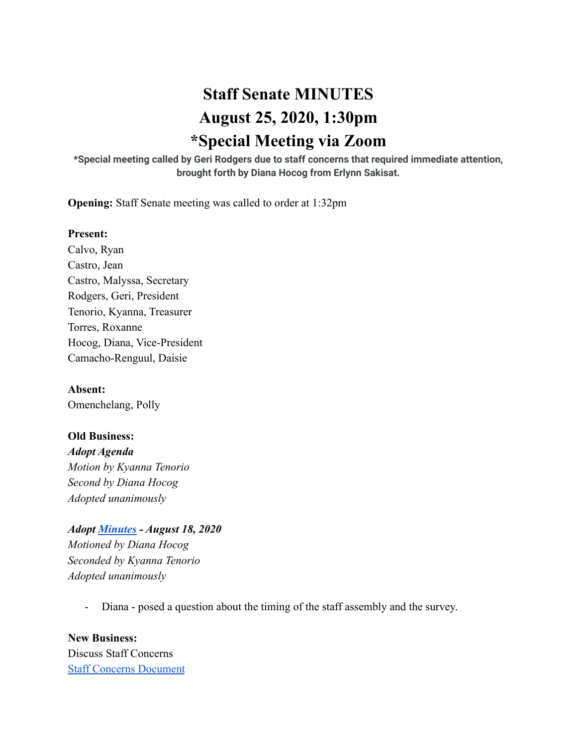# **Staff Senate MINUTES August 25, 2020, 1:30pm \*Special Meeting via Zoom**

**\*Special meeting called by Geri Rodgers due to staff concerns that required immediate attention, brought forth by Diana Hocog from Erlynn Sakisat.**

**Opening:** Staff Senate meeting was called to order at 1:32pm

#### **Present:**

Calvo, Ryan Castro, Jean Castro, Malyssa, Secretary Rodgers, Geri, President Tenorio, Kyanna, Treasurer Torres, Roxanne Hocog, Diana, Vice-President Camacho-Renguul, Daisie

**Absent:** Omenchelang, Polly

**Old Business:** *Adopt Agenda Motion by Kyanna Tenorio Second by Diana Hocog Adopted unanimously*

*Adopt [Minutes](https://docs.google.com/document/d/1gOu1kKA2opvNhaFU_fFlPqWy5qWLPg2edvA2LFOcFEU/edit?usp=sharing) - August 18, 2020 Motioned by Diana Hocog Seconded by Kyanna Tenorio Adopted unanimously*

- Diana - posed a question about the timing of the staff assembly and the survey.

**New Business:** Discuss Staff Concerns [Staff Concerns Document](https://docs.google.com/document/d/1KgHqLm5zepDe2NlEPv6rDMo7H2Wd6VApK9Rz8QKMvjM/edit?usp=sharing)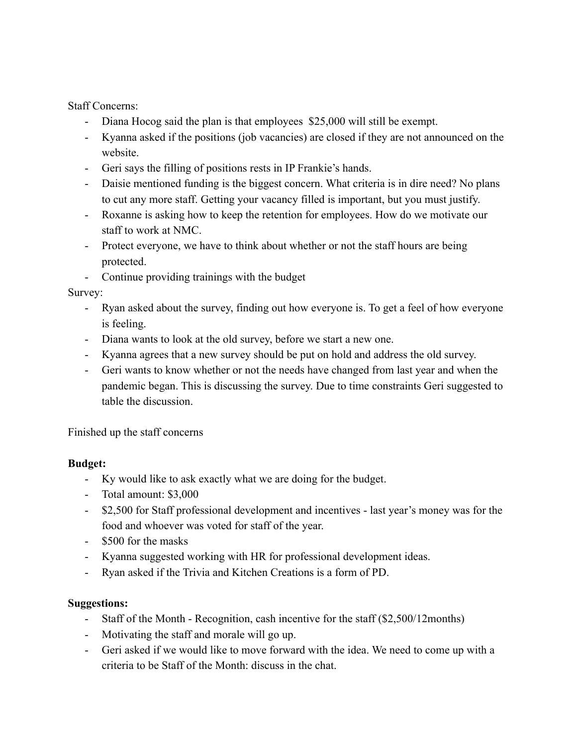Staff Concerns:

- Diana Hocog said the plan is that employees \$25,000 will still be exempt.
- Kyanna asked if the positions (job vacancies) are closed if they are not announced on the website.
- Geri says the filling of positions rests in IP Frankie's hands.
- Daisie mentioned funding is the biggest concern. What criteria is in dire need? No plans to cut any more staff. Getting your vacancy filled is important, but you must justify.
- Roxanne is asking how to keep the retention for employees. How do we motivate our staff to work at NMC.
- Protect everyone, we have to think about whether or not the staff hours are being protected.
- Continue providing trainings with the budget

Survey:

- Ryan asked about the survey, finding out how everyone is. To get a feel of how everyone is feeling.
- Diana wants to look at the old survey, before we start a new one.
- Kyanna agrees that a new survey should be put on hold and address the old survey.
- Geri wants to know whether or not the needs have changed from last year and when the pandemic began. This is discussing the survey. Due to time constraints Geri suggested to table the discussion.

Finished up the staff concerns

# **Budget:**

- Ky would like to ask exactly what we are doing for the budget.
- Total amount: \$3,000
- \$2,500 for Staff professional development and incentives last year's money was for the food and whoever was voted for staff of the year.
- \$500 for the masks
- Kyanna suggested working with HR for professional development ideas.
- Ryan asked if the Trivia and Kitchen Creations is a form of PD.

# **Suggestions:**

- Staff of the Month Recognition, cash incentive for the staff (\$2,500/12months)
- Motivating the staff and morale will go up.
- Geri asked if we would like to move forward with the idea. We need to come up with a criteria to be Staff of the Month: discuss in the chat.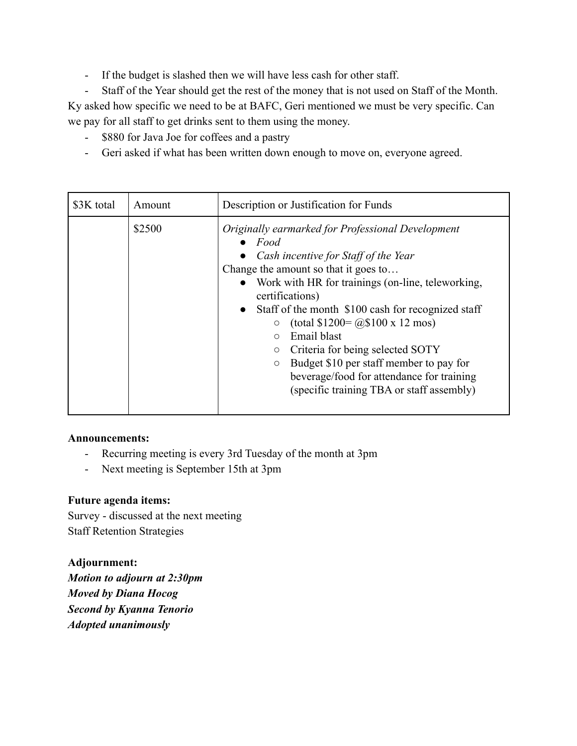- If the budget is slashed then we will have less cash for other staff.

- Staff of the Year should get the rest of the money that is not used on Staff of the Month. Ky asked how specific we need to be at BAFC, Geri mentioned we must be very specific. Can we pay for all staff to get drinks sent to them using the money.

- \$880 for Java Joe for coffees and a pastry
- Geri asked if what has been written down enough to move on, everyone agreed.

| \$3K total | Amount | Description or Justification for Funds                                                                                                                                                                                                                                                                                                                                                                                                                                                                                                                                       |
|------------|--------|------------------------------------------------------------------------------------------------------------------------------------------------------------------------------------------------------------------------------------------------------------------------------------------------------------------------------------------------------------------------------------------------------------------------------------------------------------------------------------------------------------------------------------------------------------------------------|
|            | \$2500 | Originally earmarked for Professional Development<br>$\bullet$ Food<br>• Cash incentive for Staff of the Year<br>Change the amount so that it goes to<br>• Work with HR for trainings (on-line, teleworking,<br>certifications)<br>Staff of the month \$100 cash for recognized staff<br>$\bullet$<br>(total $$1200 = @0$100 x 12 mos$ )<br>$\circ$<br>Email blast<br>$\circ$<br>Criteria for being selected SOTY<br>$\circ$<br>Budget \$10 per staff member to pay for<br>$\circ$<br>beverage/food for attendance for training<br>(specific training TBA or staff assembly) |

## **Announcements:**

- Recurring meeting is every 3rd Tuesday of the month at 3pm
- Next meeting is September 15th at 3pm

## **Future agenda items:**

Survey - discussed at the next meeting Staff Retention Strategies

## **Adjournment:**

*Motion to adjourn at 2:30pm Moved by Diana Hocog Second by Kyanna Tenorio Adopted unanimously*